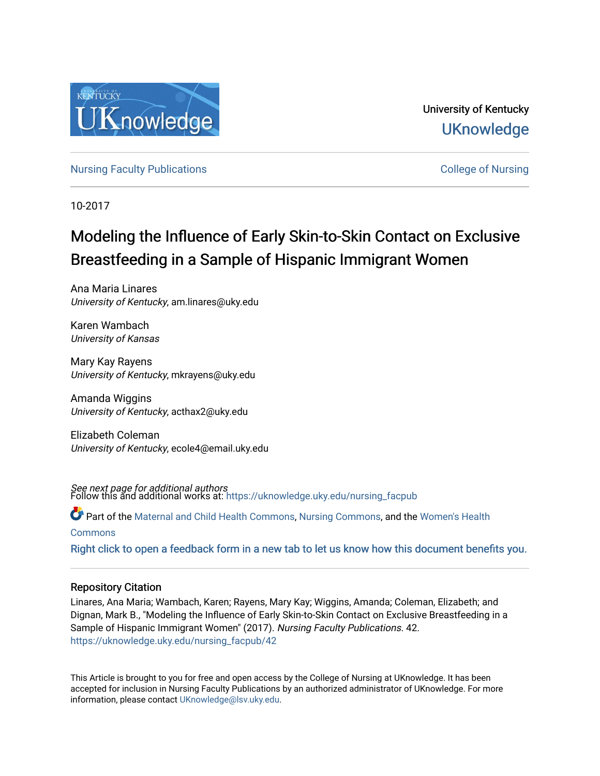

University of Kentucky **UKnowledge** 

[Nursing Faculty Publications](https://uknowledge.uky.edu/nursing_facpub) [College of Nursing](https://uknowledge.uky.edu/nursing) 

10-2017

# Modeling the Influence of Early Skin-to-Skin Contact on Exclusive Breastfeeding in a Sample of Hispanic Immigrant Women

Ana Maria Linares University of Kentucky, am.linares@uky.edu

Karen Wambach University of Kansas

Mary Kay Rayens University of Kentucky, mkrayens@uky.edu

Amanda Wiggins University of Kentucky, acthax2@uky.edu

Elizabeth Coleman University of Kentucky, ecole4@email.uky.edu

*See next page for additional authors*<br>Follow this and additional works at: https://uknowledge.uky.edu/nursing\_facpub

Part of the [Maternal and Child Health Commons,](http://network.bepress.com/hgg/discipline/745?utm_source=uknowledge.uky.edu%2Fnursing_facpub%2F42&utm_medium=PDF&utm_campaign=PDFCoverPages) [Nursing Commons,](http://network.bepress.com/hgg/discipline/718?utm_source=uknowledge.uky.edu%2Fnursing_facpub%2F42&utm_medium=PDF&utm_campaign=PDFCoverPages) and the [Women's Health](http://network.bepress.com/hgg/discipline/1241?utm_source=uknowledge.uky.edu%2Fnursing_facpub%2F42&utm_medium=PDF&utm_campaign=PDFCoverPages)

[Commons](http://network.bepress.com/hgg/discipline/1241?utm_source=uknowledge.uky.edu%2Fnursing_facpub%2F42&utm_medium=PDF&utm_campaign=PDFCoverPages)

[Right click to open a feedback form in a new tab to let us know how this document benefits you.](https://uky.az1.qualtrics.com/jfe/form/SV_9mq8fx2GnONRfz7)

# Repository Citation

Linares, Ana Maria; Wambach, Karen; Rayens, Mary Kay; Wiggins, Amanda; Coleman, Elizabeth; and Dignan, Mark B., "Modeling the Influence of Early Skin-to-Skin Contact on Exclusive Breastfeeding in a Sample of Hispanic Immigrant Women" (2017). Nursing Faculty Publications. 42. [https://uknowledge.uky.edu/nursing\\_facpub/42](https://uknowledge.uky.edu/nursing_facpub/42?utm_source=uknowledge.uky.edu%2Fnursing_facpub%2F42&utm_medium=PDF&utm_campaign=PDFCoverPages)

This Article is brought to you for free and open access by the College of Nursing at UKnowledge. It has been accepted for inclusion in Nursing Faculty Publications by an authorized administrator of UKnowledge. For more information, please contact [UKnowledge@lsv.uky.edu](mailto:UKnowledge@lsv.uky.edu).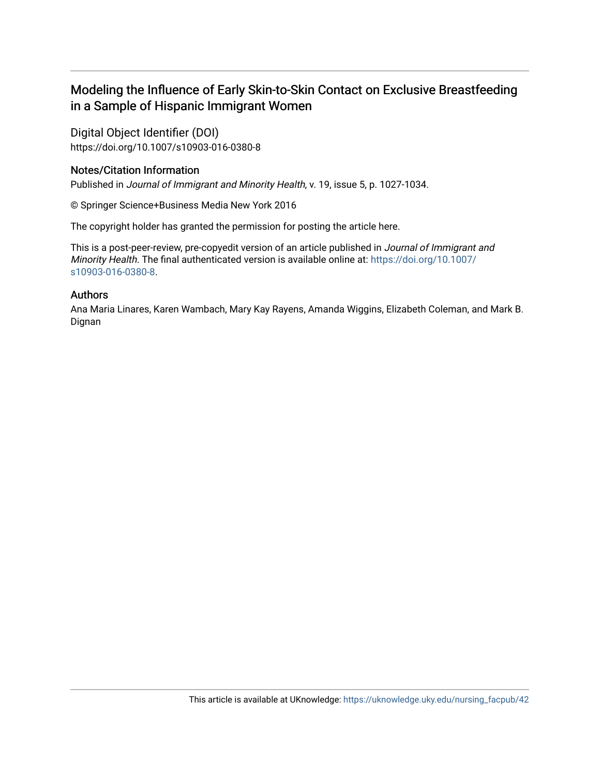# Modeling the Influence of Early Skin-to-Skin Contact on Exclusive Breastfeeding in a Sample of Hispanic Immigrant Women

Digital Object Identifier (DOI) https://doi.org/10.1007/s10903-016-0380-8

# Notes/Citation Information

Published in Journal of Immigrant and Minority Health, v. 19, issue 5, p. 1027-1034.

© Springer Science+Business Media New York 2016

The copyright holder has granted the permission for posting the article here.

This is a post-peer-review, pre-copyedit version of an article published in Journal of Immigrant and Minority Health. The final authenticated version is available online at: [https://doi.org/10.1007/](https://doi.org/10.1007/s10903-016-0380-8) [s10903-016-0380-8](https://doi.org/10.1007/s10903-016-0380-8).

# Authors

Ana Maria Linares, Karen Wambach, Mary Kay Rayens, Amanda Wiggins, Elizabeth Coleman, and Mark B. Dignan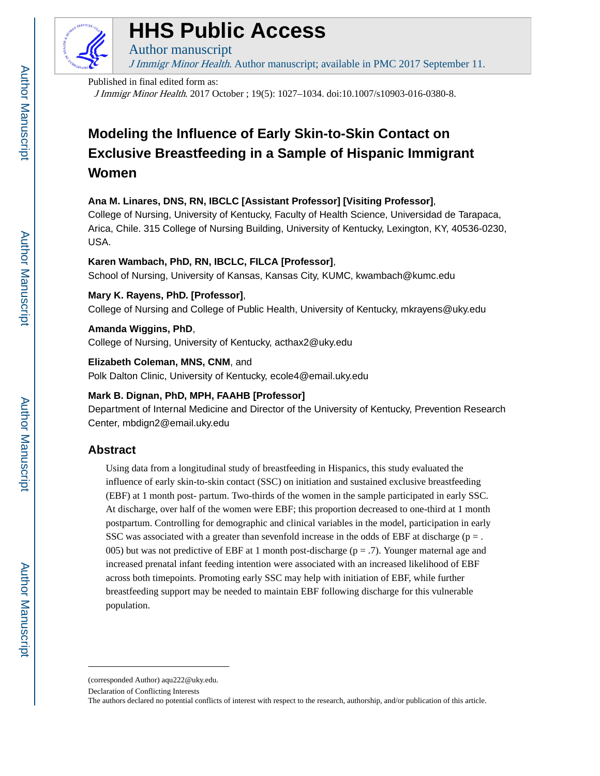

# **HHS Public Access**

J Immigr Minor Health. Author manuscript; available in PMC 2017 September 11.

#### Published in final edited form as:

Author manuscript

J Immigr Minor Health. 2017 October ; 19(5): 1027–1034. doi:10.1007/s10903-016-0380-8.

# **Modeling the Influence of Early Skin-to-Skin Contact on Exclusive Breastfeeding in a Sample of Hispanic Immigrant Women**

# **Ana M. Linares, DNS, RN, IBCLC [Assistant Professor] [Visiting Professor]**,

College of Nursing, University of Kentucky, Faculty of Health Science, Universidad de Tarapaca, Arica, Chile. 315 College of Nursing Building, University of Kentucky, Lexington, KY, 40536-0230, USA.

## **Karen Wambach, PhD, RN, IBCLC, FILCA [Professor]**,

School of Nursing, University of Kansas, Kansas City, KUMC, kwambach@kumc.edu

# **Mary K. Rayens, PhD. [Professor]**,

College of Nursing and College of Public Health, University of Kentucky, mkrayens@uky.edu

#### **Amanda Wiggins, PhD**,

College of Nursing, University of Kentucky, acthax2@uky.edu

#### **Elizabeth Coleman, MNS, CNM**, and

Polk Dalton Clinic, University of Kentucky, ecole4@email.uky.edu

## **Mark B. Dignan, PhD, MPH, FAAHB [Professor]**

Department of Internal Medicine and Director of the University of Kentucky, Prevention Research Center, mbdign2@email.uky.edu

# **Abstract**

Using data from a longitudinal study of breastfeeding in Hispanics, this study evaluated the influence of early skin-to-skin contact (SSC) on initiation and sustained exclusive breastfeeding (EBF) at 1 month post- partum. Two-thirds of the women in the sample participated in early SSC. At discharge, over half of the women were EBF; this proportion decreased to one-third at 1 month postpartum. Controlling for demographic and clinical variables in the model, participation in early SSC was associated with a greater than sevenfold increase in the odds of EBF at discharge ( $p =$ . 005) but was not predictive of EBF at 1 month post-discharge ( $p = .7$ ). Younger maternal age and increased prenatal infant feeding intention were associated with an increased likelihood of EBF across both timepoints. Promoting early SSC may help with initiation of EBF, while further breastfeeding support may be needed to maintain EBF following discharge for this vulnerable population.

<sup>(</sup>corresponded Author) aqu222@uky.edu.

Declaration of Conflicting Interests

The authors declared no potential conflicts of interest with respect to the research, authorship, and/or publication of this article.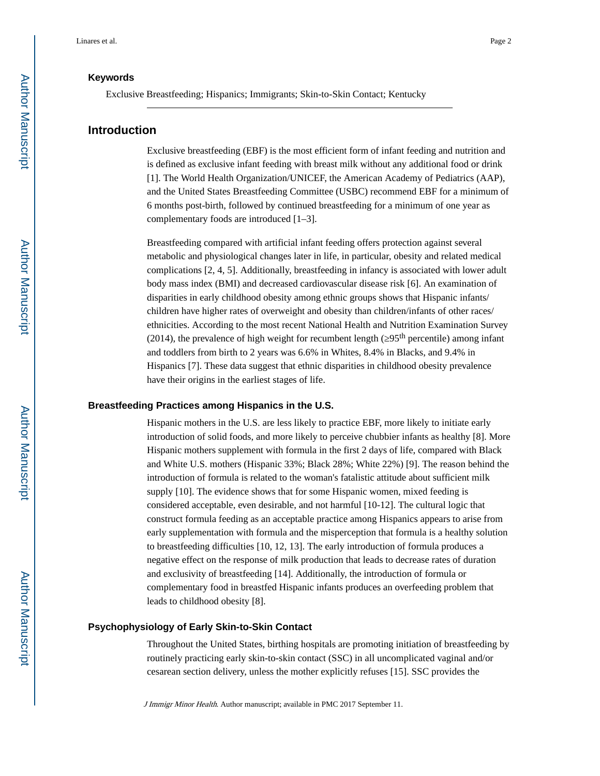#### **Keywords**

Exclusive Breastfeeding; Hispanics; Immigrants; Skin-to-Skin Contact; Kentucky

# **Introduction**

Exclusive breastfeeding (EBF) is the most efficient form of infant feeding and nutrition and is defined as exclusive infant feeding with breast milk without any additional food or drink [1]. The World Health Organization/UNICEF, the American Academy of Pediatrics (AAP), and the United States Breastfeeding Committee (USBC) recommend EBF for a minimum of 6 months post-birth, followed by continued breastfeeding for a minimum of one year as complementary foods are introduced [1–3].

Breastfeeding compared with artificial infant feeding offers protection against several metabolic and physiological changes later in life, in particular, obesity and related medical complications [2, 4, 5]. Additionally, breastfeeding in infancy is associated with lower adult body mass index (BMI) and decreased cardiovascular disease risk [6]. An examination of disparities in early childhood obesity among ethnic groups shows that Hispanic infants/ children have higher rates of overweight and obesity than children/infants of other races/ ethnicities. According to the most recent National Health and Nutrition Examination Survey (2014), the prevalence of high weight for recumbent length ( $95<sup>th</sup>$  percentile) among infant and toddlers from birth to 2 years was 6.6% in Whites, 8.4% in Blacks, and 9.4% in Hispanics [7]. These data suggest that ethnic disparities in childhood obesity prevalence have their origins in the earliest stages of life.

#### **Breastfeeding Practices among Hispanics in the U.S.**

Hispanic mothers in the U.S. are less likely to practice EBF, more likely to initiate early introduction of solid foods, and more likely to perceive chubbier infants as healthy [8]. More Hispanic mothers supplement with formula in the first 2 days of life, compared with Black and White U.S. mothers (Hispanic 33%; Black 28%; White 22%) [9]. The reason behind the introduction of formula is related to the woman's fatalistic attitude about sufficient milk supply [10]. The evidence shows that for some Hispanic women, mixed feeding is considered acceptable, even desirable, and not harmful [10-12]. The cultural logic that construct formula feeding as an acceptable practice among Hispanics appears to arise from early supplementation with formula and the misperception that formula is a healthy solution to breastfeeding difficulties [10, 12, 13]. The early introduction of formula produces a negative effect on the response of milk production that leads to decrease rates of duration and exclusivity of breastfeeding [14]. Additionally, the introduction of formula or complementary food in breastfed Hispanic infants produces an overfeeding problem that leads to childhood obesity [8].

#### **Psychophysiology of Early Skin-to-Skin Contact**

Throughout the United States, birthing hospitals are promoting initiation of breastfeeding by routinely practicing early skin-to-skin contact (SSC) in all uncomplicated vaginal and/or cesarean section delivery, unless the mother explicitly refuses [15]. SSC provides the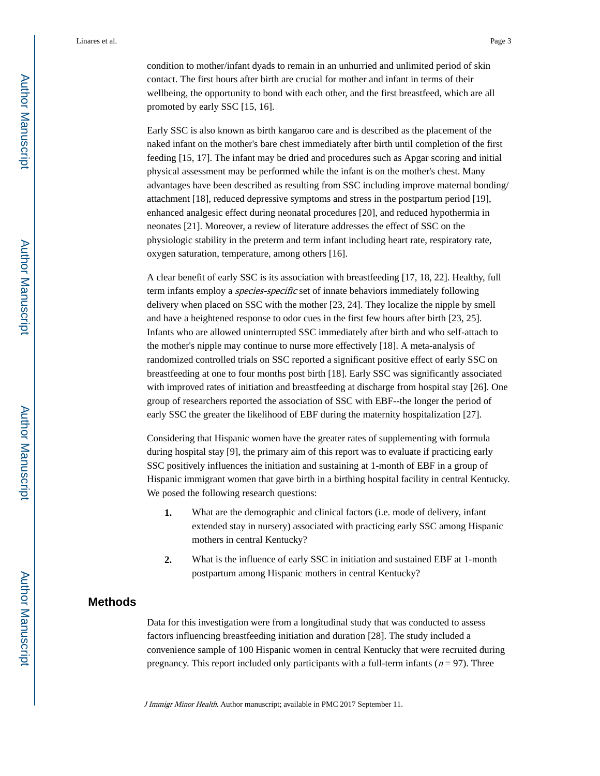condition to mother/infant dyads to remain in an unhurried and unlimited period of skin contact. The first hours after birth are crucial for mother and infant in terms of their wellbeing, the opportunity to bond with each other, and the first breastfeed, which are all promoted by early SSC [15, 16].

Early SSC is also known as birth kangaroo care and is described as the placement of the naked infant on the mother's bare chest immediately after birth until completion of the first feeding [15, 17]. The infant may be dried and procedures such as Apgar scoring and initial physical assessment may be performed while the infant is on the mother's chest. Many advantages have been described as resulting from SSC including improve maternal bonding/ attachment [18], reduced depressive symptoms and stress in the postpartum period [19], enhanced analgesic effect during neonatal procedures [20], and reduced hypothermia in neonates [21]. Moreover, a review of literature addresses the effect of SSC on the physiologic stability in the preterm and term infant including heart rate, respiratory rate, oxygen saturation, temperature, among others [16].

A clear benefit of early SSC is its association with breastfeeding [17, 18, 22]. Healthy, full term infants employ a *species-specific* set of innate behaviors immediately following delivery when placed on SSC with the mother [23, 24]. They localize the nipple by smell and have a heightened response to odor cues in the first few hours after birth [23, 25]. Infants who are allowed uninterrupted SSC immediately after birth and who self-attach to the mother's nipple may continue to nurse more effectively [18]. A meta-analysis of randomized controlled trials on SSC reported a significant positive effect of early SSC on breastfeeding at one to four months post birth [18]. Early SSC was significantly associated with improved rates of initiation and breastfeeding at discharge from hospital stay [26]. One group of researchers reported the association of SSC with EBF--the longer the period of early SSC the greater the likelihood of EBF during the maternity hospitalization [27].

Considering that Hispanic women have the greater rates of supplementing with formula during hospital stay [9], the primary aim of this report was to evaluate if practicing early SSC positively influences the initiation and sustaining at 1-month of EBF in a group of Hispanic immigrant women that gave birth in a birthing hospital facility in central Kentucky. We posed the following research questions:

- **1.** What are the demographic and clinical factors (i.e. mode of delivery, infant extended stay in nursery) associated with practicing early SSC among Hispanic mothers in central Kentucky?
- **2.** What is the influence of early SSC in initiation and sustained EBF at 1-month postpartum among Hispanic mothers in central Kentucky?

# **Methods**

Data for this investigation were from a longitudinal study that was conducted to assess factors influencing breastfeeding initiation and duration [28]. The study included a convenience sample of 100 Hispanic women in central Kentucky that were recruited during pregnancy. This report included only participants with a full-term infants ( $n = 97$ ). Three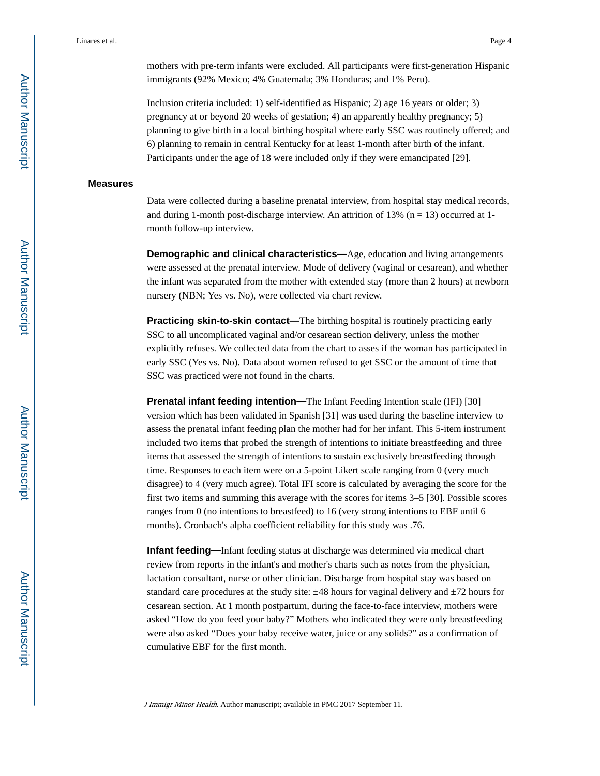Inclusion criteria included: 1) self-identified as Hispanic; 2) age 16 years or older; 3) pregnancy at or beyond 20 weeks of gestation; 4) an apparently healthy pregnancy; 5) planning to give birth in a local birthing hospital where early SSC was routinely offered; and 6) planning to remain in central Kentucky for at least 1-month after birth of the infant. Participants under the age of 18 were included only if they were emancipated [29].

#### **Measures**

Data were collected during a baseline prenatal interview, from hospital stay medical records, and during 1-month post-discharge interview. An attrition of 13% ( $n = 13$ ) occurred at 1month follow-up interview.

**Demographic and clinical characteristics—Age, education and living arrangements** were assessed at the prenatal interview. Mode of delivery (vaginal or cesarean), and whether the infant was separated from the mother with extended stay (more than 2 hours) at newborn nursery (NBN; Yes vs. No), were collected via chart review.

**Practicing skin-to-skin contact—**The birthing hospital is routinely practicing early SSC to all uncomplicated vaginal and/or cesarean section delivery, unless the mother explicitly refuses. We collected data from the chart to asses if the woman has participated in early SSC (Yes vs. No). Data about women refused to get SSC or the amount of time that SSC was practiced were not found in the charts.

**Prenatal infant feeding intention—**The Infant Feeding Intention scale (IFI) [30] version which has been validated in Spanish [31] was used during the baseline interview to assess the prenatal infant feeding plan the mother had for her infant. This 5-item instrument included two items that probed the strength of intentions to initiate breastfeeding and three items that assessed the strength of intentions to sustain exclusively breastfeeding through time. Responses to each item were on a 5-point Likert scale ranging from 0 (very much disagree) to 4 (very much agree). Total IFI score is calculated by averaging the score for the first two items and summing this average with the scores for items 3–5 [30]. Possible scores ranges from 0 (no intentions to breastfeed) to 16 (very strong intentions to EBF until 6 months). Cronbach's alpha coefficient reliability for this study was .76.

**Infant feeding—Infant feeding status at discharge was determined via medical chart** review from reports in the infant's and mother's charts such as notes from the physician, lactation consultant, nurse or other clinician. Discharge from hospital stay was based on standard care procedures at the study site:  $\pm 48$  hours for vaginal delivery and  $\pm 72$  hours for cesarean section. At 1 month postpartum, during the face-to-face interview, mothers were asked "How do you feed your baby?" Mothers who indicated they were only breastfeeding were also asked "Does your baby receive water, juice or any solids?" as a confirmation of cumulative EBF for the first month.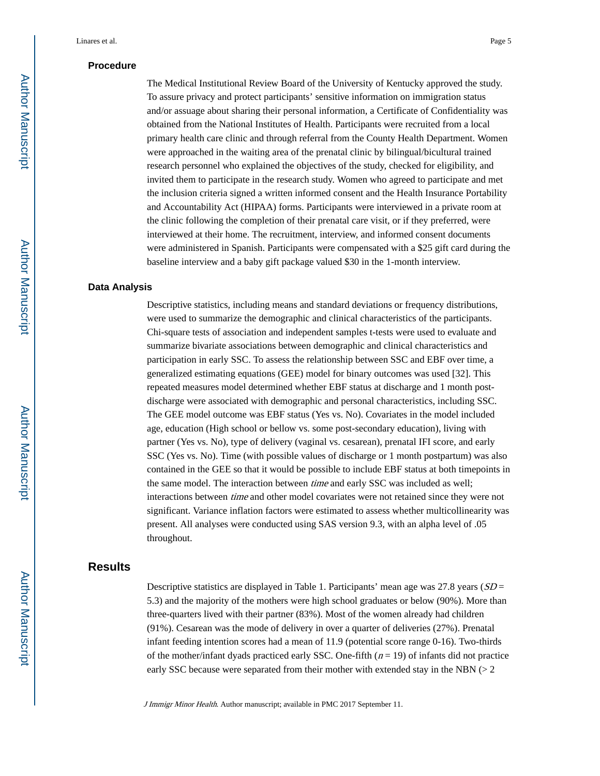#### **Procedure**

The Medical Institutional Review Board of the University of Kentucky approved the study. To assure privacy and protect participants' sensitive information on immigration status and/or assuage about sharing their personal information, a Certificate of Confidentiality was obtained from the National Institutes of Health. Participants were recruited from a local primary health care clinic and through referral from the County Health Department. Women were approached in the waiting area of the prenatal clinic by bilingual/bicultural trained research personnel who explained the objectives of the study, checked for eligibility, and invited them to participate in the research study. Women who agreed to participate and met the inclusion criteria signed a written informed consent and the Health Insurance Portability and Accountability Act (HIPAA) forms. Participants were interviewed in a private room at the clinic following the completion of their prenatal care visit, or if they preferred, were interviewed at their home. The recruitment, interview, and informed consent documents were administered in Spanish. Participants were compensated with a \$25 gift card during the baseline interview and a baby gift package valued \$30 in the 1-month interview.

#### **Data Analysis**

Descriptive statistics, including means and standard deviations or frequency distributions, were used to summarize the demographic and clinical characteristics of the participants. Chi-square tests of association and independent samples t-tests were used to evaluate and summarize bivariate associations between demographic and clinical characteristics and participation in early SSC. To assess the relationship between SSC and EBF over time, a generalized estimating equations (GEE) model for binary outcomes was used [32]. This repeated measures model determined whether EBF status at discharge and 1 month postdischarge were associated with demographic and personal characteristics, including SSC. The GEE model outcome was EBF status (Yes vs. No). Covariates in the model included age, education (High school or bellow vs. some post-secondary education), living with partner (Yes vs. No), type of delivery (vaginal vs. cesarean), prenatal IFI score, and early SSC (Yes vs. No). Time (with possible values of discharge or 1 month postpartum) was also contained in the GEE so that it would be possible to include EBF status at both timepoints in the same model. The interaction between *time* and early SSC was included as well; interactions between time and other model covariates were not retained since they were not significant. Variance inflation factors were estimated to assess whether multicollinearity was present. All analyses were conducted using SAS version 9.3, with an alpha level of .05 throughout.

# **Results**

Descriptive statistics are displayed in Table 1. Participants' mean age was  $27.8$  years ( $SD =$ 5.3) and the majority of the mothers were high school graduates or below (90%). More than three-quarters lived with their partner (83%). Most of the women already had children (91%). Cesarean was the mode of delivery in over a quarter of deliveries (27%). Prenatal infant feeding intention scores had a mean of 11.9 (potential score range 0-16). Two-thirds of the mother/infant dyads practiced early SSC. One-fifth  $(n = 19)$  of infants did not practice early SSC because were separated from their mother with extended stay in the NBN  $(> 2$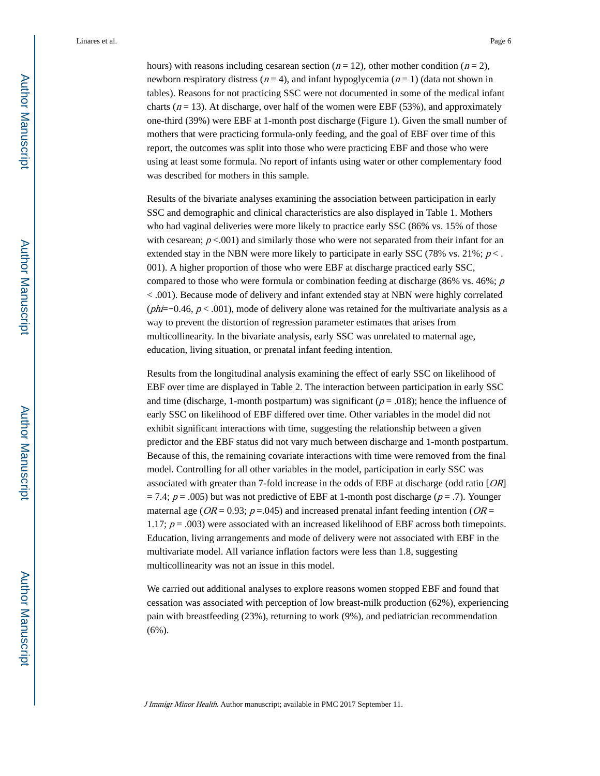hours) with reasons including cesarean section ( $n = 12$ ), other mother condition ( $n = 2$ ), newborn respiratory distress ( $n = 4$ ), and infant hypoglycemia ( $n = 1$ ) (data not shown in tables). Reasons for not practicing SSC were not documented in some of the medical infant charts ( $n = 13$ ). At discharge, over half of the women were EBF (53%), and approximately one-third (39%) were EBF at 1-month post discharge (Figure 1). Given the small number of mothers that were practicing formula-only feeding, and the goal of EBF over time of this report, the outcomes was split into those who were practicing EBF and those who were using at least some formula. No report of infants using water or other complementary food was described for mothers in this sample.

Results of the bivariate analyses examining the association between participation in early SSC and demographic and clinical characteristics are also displayed in Table 1. Mothers who had vaginal deliveries were more likely to practice early SSC (86% vs. 15% of those with cesarean;  $p < .001$  and similarly those who were not separated from their infant for an extended stay in the NBN were more likely to participate in early SSC (78% vs. 21%;  $p$  < . 001). A higher proportion of those who were EBF at discharge practiced early SSC, compared to those who were formula or combination feeding at discharge (86% vs. 46%;  $p$ ) < .001). Because mode of delivery and infant extended stay at NBN were highly correlated (phi=−0.46,  $p$  < .001), mode of delivery alone was retained for the multivariate analysis as a way to prevent the distortion of regression parameter estimates that arises from multicollinearity. In the bivariate analysis, early SSC was unrelated to maternal age, education, living situation, or prenatal infant feeding intention.

Results from the longitudinal analysis examining the effect of early SSC on likelihood of EBF over time are displayed in Table 2. The interaction between participation in early SSC and time (discharge, 1-month postpartum) was significant ( $p = .018$ ); hence the influence of early SSC on likelihood of EBF differed over time. Other variables in the model did not exhibit significant interactions with time, suggesting the relationship between a given predictor and the EBF status did not vary much between discharge and 1-month postpartum. Because of this, the remaining covariate interactions with time were removed from the final model. Controlling for all other variables in the model, participation in early SSC was associated with greater than 7-fold increase in the odds of EBF at discharge (odd ratio [OR]  $= 7.4$ ;  $p = .005$ ) but was not predictive of EBF at 1-month post discharge ( $p = .7$ ). Younger maternal age ( $OR = 0.93$ ;  $p = .045$ ) and increased prenatal infant feeding intention ( $OR =$ 1.17;  $p = .003$ ) were associated with an increased likelihood of EBF across both timepoints. Education, living arrangements and mode of delivery were not associated with EBF in the multivariate model. All variance inflation factors were less than 1.8, suggesting multicollinearity was not an issue in this model.

We carried out additional analyses to explore reasons women stopped EBF and found that cessation was associated with perception of low breast-milk production (62%), experiencing pain with breastfeeding (23%), returning to work (9%), and pediatrician recommendation (6%).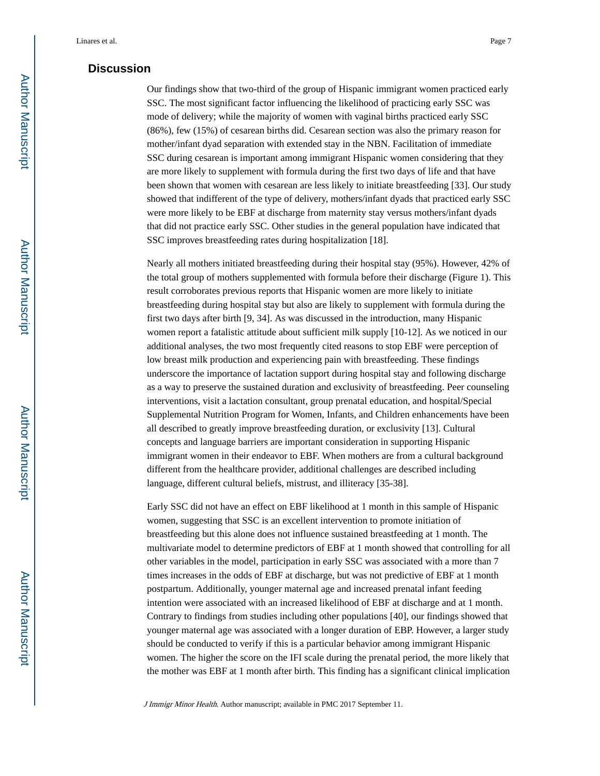## **Discussion**

Our findings show that two-third of the group of Hispanic immigrant women practiced early SSC. The most significant factor influencing the likelihood of practicing early SSC was mode of delivery; while the majority of women with vaginal births practiced early SSC (86%), few (15%) of cesarean births did. Cesarean section was also the primary reason for mother/infant dyad separation with extended stay in the NBN. Facilitation of immediate SSC during cesarean is important among immigrant Hispanic women considering that they are more likely to supplement with formula during the first two days of life and that have been shown that women with cesarean are less likely to initiate breastfeeding [33]. Our study showed that indifferent of the type of delivery, mothers/infant dyads that practiced early SSC were more likely to be EBF at discharge from maternity stay versus mothers/infant dyads that did not practice early SSC. Other studies in the general population have indicated that SSC improves breastfeeding rates during hospitalization [18].

Nearly all mothers initiated breastfeeding during their hospital stay (95%). However, 42% of the total group of mothers supplemented with formula before their discharge (Figure 1). This result corroborates previous reports that Hispanic women are more likely to initiate breastfeeding during hospital stay but also are likely to supplement with formula during the first two days after birth [9, 34]. As was discussed in the introduction, many Hispanic women report a fatalistic attitude about sufficient milk supply [10-12]. As we noticed in our additional analyses, the two most frequently cited reasons to stop EBF were perception of low breast milk production and experiencing pain with breastfeeding. These findings underscore the importance of lactation support during hospital stay and following discharge as a way to preserve the sustained duration and exclusivity of breastfeeding. Peer counseling interventions, visit a lactation consultant, group prenatal education, and hospital/Special Supplemental Nutrition Program for Women, Infants, and Children enhancements have been all described to greatly improve breastfeeding duration, or exclusivity [13]. Cultural concepts and language barriers are important consideration in supporting Hispanic immigrant women in their endeavor to EBF. When mothers are from a cultural background different from the healthcare provider, additional challenges are described including language, different cultural beliefs, mistrust, and illiteracy [35-38].

Early SSC did not have an effect on EBF likelihood at 1 month in this sample of Hispanic women, suggesting that SSC is an excellent intervention to promote initiation of breastfeeding but this alone does not influence sustained breastfeeding at 1 month. The multivariate model to determine predictors of EBF at 1 month showed that controlling for all other variables in the model, participation in early SSC was associated with a more than 7 times increases in the odds of EBF at discharge, but was not predictive of EBF at 1 month postpartum. Additionally, younger maternal age and increased prenatal infant feeding intention were associated with an increased likelihood of EBF at discharge and at 1 month. Contrary to findings from studies including other populations [40], our findings showed that younger maternal age was associated with a longer duration of EBP. However, a larger study should be conducted to verify if this is a particular behavior among immigrant Hispanic women. The higher the score on the IFI scale during the prenatal period, the more likely that the mother was EBF at 1 month after birth. This finding has a significant clinical implication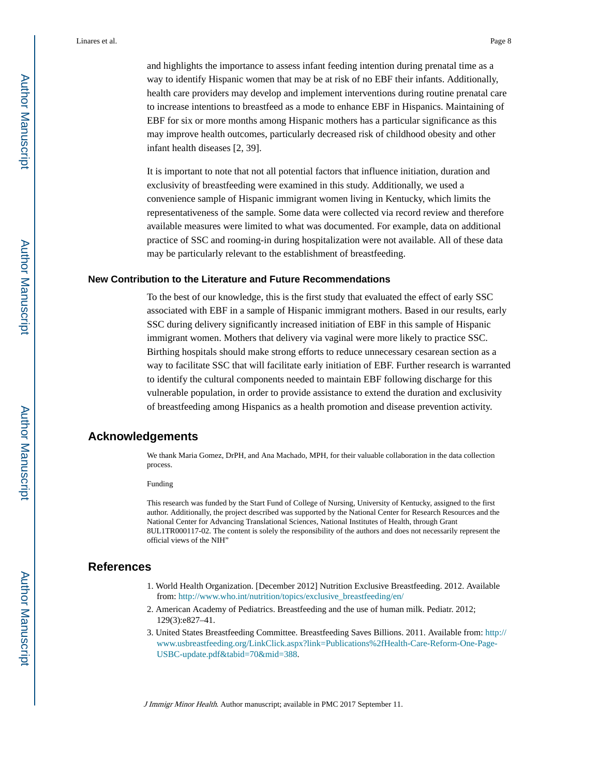and highlights the importance to assess infant feeding intention during prenatal time as a way to identify Hispanic women that may be at risk of no EBF their infants. Additionally, health care providers may develop and implement interventions during routine prenatal care to increase intentions to breastfeed as a mode to enhance EBF in Hispanics. Maintaining of EBF for six or more months among Hispanic mothers has a particular significance as this may improve health outcomes, particularly decreased risk of childhood obesity and other infant health diseases [2, 39].

It is important to note that not all potential factors that influence initiation, duration and exclusivity of breastfeeding were examined in this study. Additionally, we used a convenience sample of Hispanic immigrant women living in Kentucky, which limits the representativeness of the sample. Some data were collected via record review and therefore available measures were limited to what was documented. For example, data on additional practice of SSC and rooming-in during hospitalization were not available. All of these data may be particularly relevant to the establishment of breastfeeding.

#### **New Contribution to the Literature and Future Recommendations**

To the best of our knowledge, this is the first study that evaluated the effect of early SSC associated with EBF in a sample of Hispanic immigrant mothers. Based in our results, early SSC during delivery significantly increased initiation of EBF in this sample of Hispanic immigrant women. Mothers that delivery via vaginal were more likely to practice SSC. Birthing hospitals should make strong efforts to reduce unnecessary cesarean section as a way to facilitate SSC that will facilitate early initiation of EBF. Further research is warranted to identify the cultural components needed to maintain EBF following discharge for this vulnerable population, in order to provide assistance to extend the duration and exclusivity of breastfeeding among Hispanics as a health promotion and disease prevention activity.

# **Acknowledgements**

We thank Maria Gomez, DrPH, and Ana Machado, MPH, for their valuable collaboration in the data collection process.

Funding

This research was funded by the Start Fund of College of Nursing, University of Kentucky, assigned to the first author. Additionally, the project described was supported by the National Center for Research Resources and the National Center for Advancing Translational Sciences, National Institutes of Health, through Grant 8UL1TR000117-02. The content is solely the responsibility of the authors and does not necessarily represent the official views of the NIH"

#### **References**

- 1. World Health Organization. [December 2012] Nutrition Exclusive Breastfeeding. 2012. Available from: [http://www.who.int/nutrition/topics/exclusive\\_breastfeeding/en/](http://www.who.int/nutrition/topics/exclusive_breastfeeding/en/)
- 2. American Academy of Pediatrics. Breastfeeding and the use of human milk. Pediatr. 2012; 129(3):e827–41.
- 3. United States Breastfeeding Committee. Breastfeeding Saves Billions. 2011. Available from: [http://](http://www.usbreastfeeding.org/LinkClick.aspx?link=Publications%2fHealth-Care-Reform-One-Page-USBC-update.pdf&tabid=70&mid=388) [www.usbreastfeeding.org/LinkClick.aspx?link=Publications%2fHealth-Care-Reform-One-Page-](http://www.usbreastfeeding.org/LinkClick.aspx?link=Publications%2fHealth-Care-Reform-One-Page-USBC-update.pdf&tabid=70&mid=388)[USBC-update.pdf&tabid=70&mid=388](http://www.usbreastfeeding.org/LinkClick.aspx?link=Publications%2fHealth-Care-Reform-One-Page-USBC-update.pdf&tabid=70&mid=388).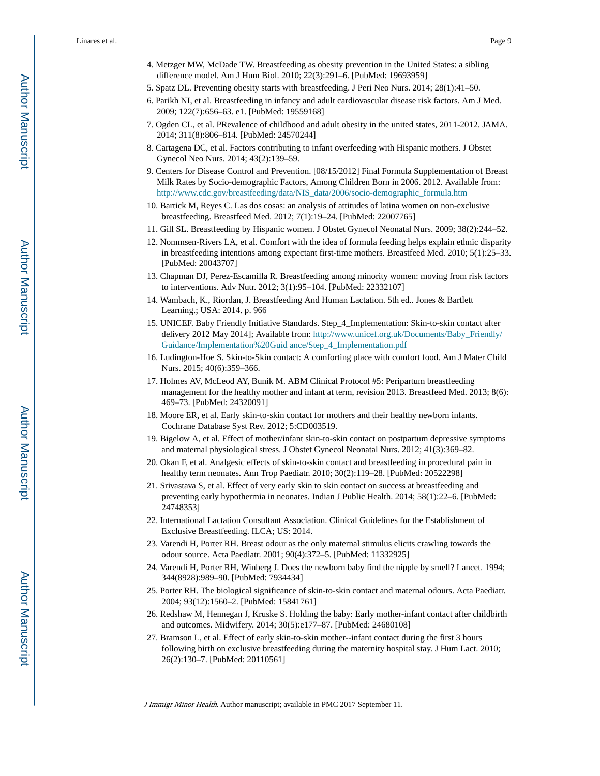- 5. Spatz DL. Preventing obesity starts with breastfeeding. J Peri Neo Nurs. 2014; 28(1):41–50.
- 6. Parikh NI, et al. Breastfeeding in infancy and adult cardiovascular disease risk factors. Am J Med. 2009; 122(7):656–63. e1. [PubMed: 19559168]
- 7. Ogden CL, et al. PRevalence of childhood and adult obesity in the united states, 2011-2012. JAMA. 2014; 311(8):806–814. [PubMed: 24570244]
- 8. Cartagena DC, et al. Factors contributing to infant overfeeding with Hispanic mothers. J Obstet Gynecol Neo Nurs. 2014; 43(2):139–59.
- 9. Centers for Disease Control and Prevention. [08/15/2012] Final Formula Supplementation of Breast Milk Rates by Socio-demographic Factors, Among Children Born in 2006. 2012. Available from: [http://www.cdc.gov/breastfeeding/data/NIS\\_data/2006/socio-demographic\\_formula.htm](http://www.cdc.gov/breastfeeding/data/NIS_data/2006/socio-demographic_formula.htm)
- 10. Bartick M, Reyes C. Las dos cosas: an analysis of attitudes of latina women on non-exclusive breastfeeding. Breastfeed Med. 2012; 7(1):19–24. [PubMed: 22007765]
- 11. Gill SL. Breastfeeding by Hispanic women. J Obstet Gynecol Neonatal Nurs. 2009; 38(2):244–52.
- 12. Nommsen-Rivers LA, et al. Comfort with the idea of formula feeding helps explain ethnic disparity in breastfeeding intentions among expectant first-time mothers. Breastfeed Med. 2010; 5(1):25–33. [PubMed: 20043707]
- 13. Chapman DJ, Perez-Escamilla R. Breastfeeding among minority women: moving from risk factors to interventions. Adv Nutr. 2012; 3(1):95–104. [PubMed: 22332107]
- 14. Wambach, K., Riordan, J. Breastfeeding And Human Lactation. 5th ed.. Jones & Bartlett Learning.; USA: 2014. p. 966
- 15. UNICEF. Baby Friendly Initiative Standards. Step\_4\_Implementation: Skin-to-skin contact after delivery 2012 May 2014]; Available from: [http://www.unicef.org.uk/Documents/Baby\\_Friendly/](http://www.unicef.org.uk/Documents/Baby_Friendly/Guidance/Implementation%20Guidance/Step_4_Implementation.pdf) [Guidance/Implementation%20Guid ance/Step\\_4\\_Implementation.pdf](http://www.unicef.org.uk/Documents/Baby_Friendly/Guidance/Implementation%20Guidance/Step_4_Implementation.pdf)
- 16. Ludington-Hoe S. Skin-to-Skin contact: A comforting place with comfort food. Am J Mater Child Nurs. 2015; 40(6):359–366.
- 17. Holmes AV, McLeod AY, Bunik M. ABM Clinical Protocol #5: Peripartum breastfeeding management for the healthy mother and infant at term, revision 2013. Breastfeed Med. 2013; 8(6): 469–73. [PubMed: 24320091]
- 18. Moore ER, et al. Early skin-to-skin contact for mothers and their healthy newborn infants. Cochrane Database Syst Rev. 2012; 5:CD003519.
- 19. Bigelow A, et al. Effect of mother/infant skin-to-skin contact on postpartum depressive symptoms and maternal physiological stress. J Obstet Gynecol Neonatal Nurs. 2012; 41(3):369–82.
- 20. Okan F, et al. Analgesic effects of skin-to-skin contact and breastfeeding in procedural pain in healthy term neonates. Ann Trop Paediatr. 2010; 30(2):119–28. [PubMed: 20522298]
- 21. Srivastava S, et al. Effect of very early skin to skin contact on success at breastfeeding and preventing early hypothermia in neonates. Indian J Public Health. 2014; 58(1):22–6. [PubMed: 24748353]
- 22. International Lactation Consultant Association. Clinical Guidelines for the Establishment of Exclusive Breastfeeding. ILCA; US: 2014.
- 23. Varendi H, Porter RH. Breast odour as the only maternal stimulus elicits crawling towards the odour source. Acta Paediatr. 2001; 90(4):372–5. [PubMed: 11332925]
- 24. Varendi H, Porter RH, Winberg J. Does the newborn baby find the nipple by smell? Lancet. 1994; 344(8928):989–90. [PubMed: 7934434]
- 25. Porter RH. The biological significance of skin-to-skin contact and maternal odours. Acta Paediatr. 2004; 93(12):1560–2. [PubMed: 15841761]
- 26. Redshaw M, Hennegan J, Kruske S. Holding the baby: Early mother-infant contact after childbirth and outcomes. Midwifery. 2014; 30(5):e177–87. [PubMed: 24680108]
- 27. Bramson L, et al. Effect of early skin-to-skin mother--infant contact during the first 3 hours following birth on exclusive breastfeeding during the maternity hospital stay. J Hum Lact. 2010; 26(2):130–7. [PubMed: 20110561]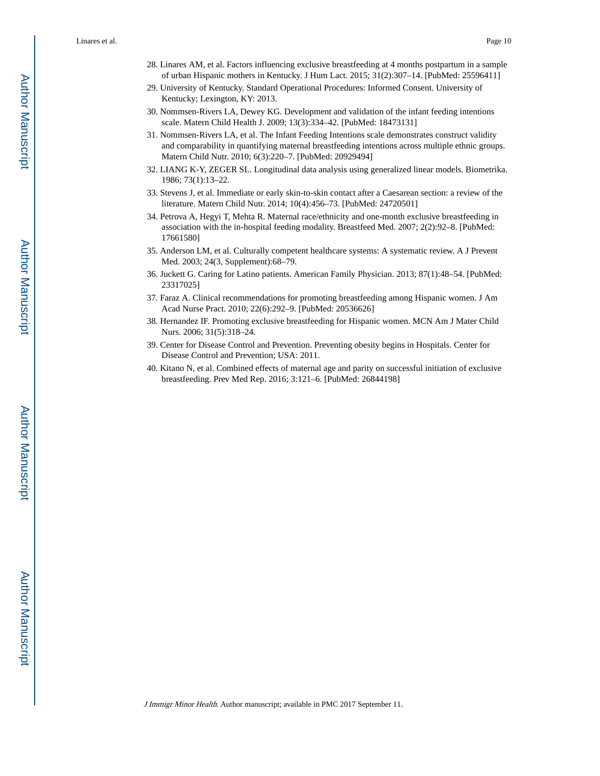- 28. Linares AM, et al. Factors influencing exclusive breastfeeding at 4 months postpartum in a sample of urban Hispanic mothers in Kentucky. J Hum Lact. 2015; 31(2):307–14. [PubMed: 25596411]
- 29. University of Kentucky. Standard Operational Procedures: Informed Consent. University of Kentucky; Lexington, KY: 2013.
- 30. Nommsen-Rivers LA, Dewey KG. Development and validation of the infant feeding intentions scale. Matern Child Health J. 2009; 13(3):334–42. [PubMed: 18473131]
- 31. Nommsen-Rivers LA, et al. The Infant Feeding Intentions scale demonstrates construct validity and comparability in quantifying maternal breastfeeding intentions across multiple ethnic groups. Matern Child Nutr. 2010; 6(3):220–7. [PubMed: 20929494]
- 32. LIANG K-Y, ZEGER SL. Longitudinal data analysis using generalized linear models. Biometrika. 1986; 73(1):13–22.
- 33. Stevens J, et al. Immediate or early skin-to-skin contact after a Caesarean section: a review of the literature. Matern Child Nutr. 2014; 10(4):456–73. [PubMed: 24720501]
- 34. Petrova A, Hegyi T, Mehta R. Maternal race/ethnicity and one-month exclusive breastfeeding in association with the in-hospital feeding modality. Breastfeed Med. 2007; 2(2):92–8. [PubMed: 17661580]
- 35. Anderson LM, et al. Culturally competent healthcare systems: A systematic review. A J Prevent Med. 2003; 24(3, Supplement):68–79.
- 36. Juckett G. Caring for Latino patients. American Family Physician. 2013; 87(1):48–54. [PubMed: 23317025]
- 37. Faraz A. Clinical recommendations for promoting breastfeeding among Hispanic women. J Am Acad Nurse Pract. 2010; 22(6):292–9. [PubMed: 20536626]
- 38. Hernandez IF. Promoting exclusive breastfeeding for Hispanic women. MCN Am J Mater Child Nurs. 2006; 31(5):318–24.
- 39. Center for Disease Control and Prevention. Preventing obesity begins in Hospitals. Center for Disease Control and Prevention; USA: 2011.
- 40. Kitano N, et al. Combined effects of maternal age and parity on successful initiation of exclusive breastfeeding. Prev Med Rep. 2016; 3:121–6. [PubMed: 26844198]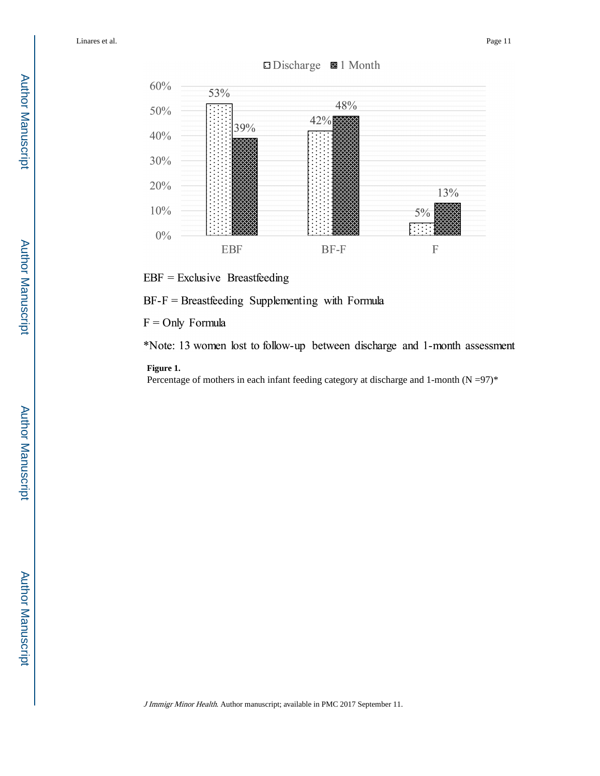

# □ Discharge ■ 1 Month

 $EBF = Exclusive$  Breastfeeding

 $BF-F = Breatfeeding$  Supplementing with Formula

 $F =$ Only Formula

\*Note: 13 women lost to follow-up between discharge and 1-month assessment

#### **Figure 1.**

Percentage of mothers in each infant feeding category at discharge and 1-month  $(N = 97)^*$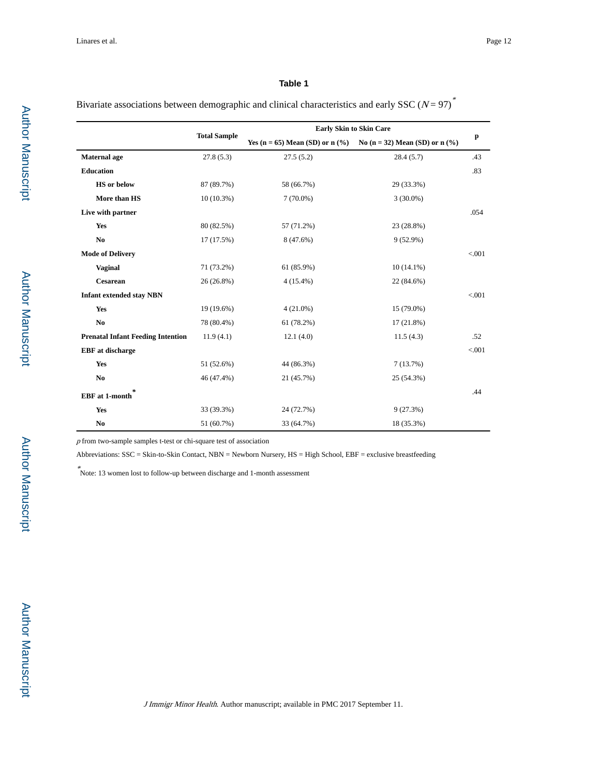l,

#### **Table 1**

Bivariate associations between demographic and clinical characteristics and early SSC ( $N = 97$ )<sup>\*</sup>

|                                          | <b>Total Sample</b> | <b>Early Skin to Skin Care</b>    |                                   |              |
|------------------------------------------|---------------------|-----------------------------------|-----------------------------------|--------------|
|                                          |                     | Yes (n = 65) Mean (SD) or $n$ (%) | No (n = 32) Mean (SD) or n $(\%)$ | $\mathbf{p}$ |
| Maternal age                             | 27.8(5.3)           | 27.5(5.2)                         | 28.4(5.7)                         | .43          |
| <b>Education</b>                         |                     |                                   |                                   | .83          |
| <b>HS</b> or below                       | 87 (89.7%)          | 58 (66.7%)                        | 29 (33.3%)                        |              |
| More than HS                             | $10(10.3\%)$        | $7(70.0\%)$                       | $3(30.0\%)$                       |              |
| Live with partner                        |                     |                                   |                                   | .054         |
| Yes                                      | 80 (82.5%)          | 57 (71.2%)                        | 23 (28.8%)                        |              |
| N <sub>0</sub>                           | 17 (17.5%)          | 8 (47.6%)                         | $9(52.9\%)$                       |              |
| <b>Mode of Delivery</b>                  |                     |                                   |                                   | < 0.001      |
| Vaginal                                  | 71 (73.2%)          | 61 (85.9%)                        | $10(14.1\%)$                      |              |
| Cesarean                                 | 26 (26.8%)          | $4(15.4\%)$                       | 22 (84.6%)                        |              |
| <b>Infant extended stay NBN</b>          |                     |                                   |                                   | < 0.001      |
| Yes                                      | 19 (19.6%)          | $4(21.0\%)$                       | 15 (79.0%)                        |              |
| N <sub>0</sub>                           | 78 (80.4%)          | 61 (78.2%)                        | $17(21.8\%)$                      |              |
| <b>Prenatal Infant Feeding Intention</b> | 11.9(4.1)           | 12.1(4.0)                         | 11.5(4.3)                         | .52          |
| <b>EBF</b> at discharge                  |                     |                                   |                                   | < 0.001      |
| Yes                                      | 51 (52.6%)          | 44 (86.3%)                        | 7(13.7%)                          |              |
| N <sub>0</sub>                           | 46 (47.4%)          | 21 (45.7%)                        | 25 (54.3%)                        |              |
| $\ast$<br><b>EBF</b> at 1-month          |                     |                                   |                                   | .44          |
| Yes                                      | 33 (39.3%)          | 24 (72.7%)                        | 9(27.3%)                          |              |
| N <sub>0</sub>                           | 51 (60.7%)          | 33 (64.7%)                        | 18 (35.3%)                        |              |

 $p$  from two-sample samples t-test or chi-square test of association

Abbreviations: SSC = Skin-to-Skin Contact, NBN = Newborn Nursery, HS = High School, EBF = exclusive breastfeeding

\* Note: 13 women lost to follow-up between discharge and 1-month assessment